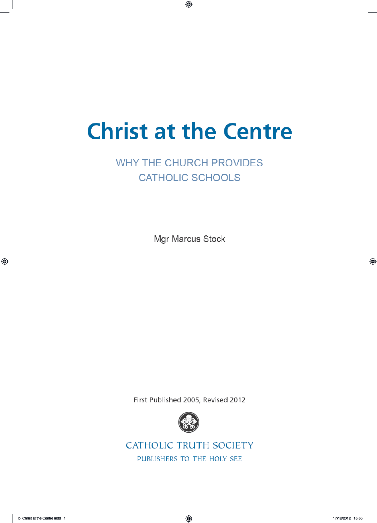# **Christ at the Centre**

# **WHY THE CHURCH PROVIDES CATHOLIC SCHOOLS**

Mgr Marcus Stock

First Published 2005, Revised 2012



**CATHOLIC TRUTH SOCIETY** PUBLISHERS TO THE HOLY SEE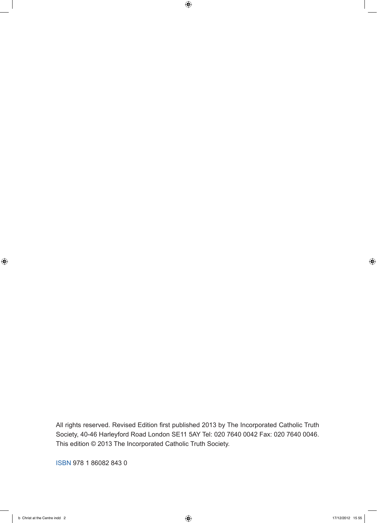All rights reserved. Revised Edition first published 2013 by The Incorporated Catholic Truth Society, 40-46 Harleyford Road London SE11 5AY Tel: 020 7640 0042 Fax: 020 7640 0046. This edition © 2013 The Incorporated Catholic Truth Society.

ISBN 978 1 86082 843 0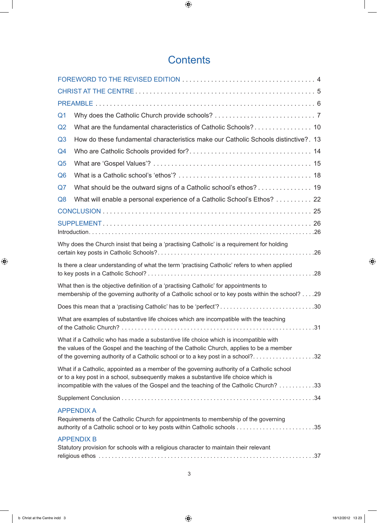# **Contents**

| Q <sub>1</sub>                                                                                                                                                                                                                                                             |                                                                                     |
|----------------------------------------------------------------------------------------------------------------------------------------------------------------------------------------------------------------------------------------------------------------------------|-------------------------------------------------------------------------------------|
| Q <sub>2</sub>                                                                                                                                                                                                                                                             |                                                                                     |
| Q <sub>3</sub>                                                                                                                                                                                                                                                             | How do these fundamental characteristics make our Catholic Schools distinctive?. 13 |
| Q <sub>4</sub>                                                                                                                                                                                                                                                             |                                                                                     |
| Q <sub>5</sub>                                                                                                                                                                                                                                                             |                                                                                     |
| Q <sub>6</sub>                                                                                                                                                                                                                                                             |                                                                                     |
| Q7                                                                                                                                                                                                                                                                         | What should be the outward signs of a Catholic school's ethos? 19                   |
| Q <sub>8</sub>                                                                                                                                                                                                                                                             | What will enable a personal experience of a Catholic School's Ethos? 22             |
|                                                                                                                                                                                                                                                                            |                                                                                     |
|                                                                                                                                                                                                                                                                            |                                                                                     |
| Why does the Church insist that being a 'practising Catholic' is a requirement for holding                                                                                                                                                                                 |                                                                                     |
| Is there a clear understanding of what the term 'practising Catholic' refers to when applied                                                                                                                                                                               |                                                                                     |
| What then is the objective definition of a 'practising Catholic' for appointments to<br>membership of the governing authority of a Catholic school or to key posts within the school? 29                                                                                   |                                                                                     |
|                                                                                                                                                                                                                                                                            | Does this mean that a 'practising Catholic' has to be 'perfect'?30                  |
| What are examples of substantive life choices which are incompatible with the teaching                                                                                                                                                                                     |                                                                                     |
| What if a Catholic who has made a substantive life choice which is incompatible with<br>the values of the Gospel and the teaching of the Catholic Church, applies to be a member<br>of the governing authority of a Catholic school or to a key post in a school?32        |                                                                                     |
| What if a Catholic, appointed as a member of the governing authority of a Catholic school<br>or to a key post in a school, subsequently makes a substantive life choice which is<br>incompatible with the values of the Gospel and the teaching of the Catholic Church? 33 |                                                                                     |
|                                                                                                                                                                                                                                                                            |                                                                                     |
| <b>APPENDIX A</b><br>Requirements of the Catholic Church for appointments to membership of the governing                                                                                                                                                                   |                                                                                     |
| <b>APPENDIX B</b><br>Statutory provision for schools with a religious character to maintain their relevant                                                                                                                                                                 |                                                                                     |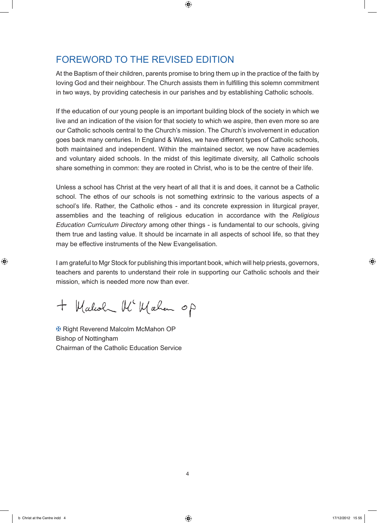# FOREWORD TO THE REVISED EDITION

At the Baptism of their children, parents promise to bring them up in the practice of the faith by loving God and their neighbour. The Church assists them in fulfilling this solemn commitment in two ways, by providing catechesis in our parishes and by establishing Catholic schools.

If the education of our young people is an important building block of the society in which we live and an indication of the vision for that society to which we aspire, then even more so are our Catholic schools central to the Church's mission. The Church's involvement in education goes back many centuries. In England & Wales, we have different types of Catholic schools, both maintained and independent. Within the maintained sector, we now have academies and voluntary aided schools. In the midst of this legitimate diversity, all Catholic schools share something in common: they are rooted in Christ, who is to be the centre of their life.

Unless a school has Christ at the very heart of all that it is and does, it cannot be a Catholic school. The ethos of our schools is not something extrinsic to the various aspects of a school's life. Rather, the Catholic ethos - and its concrete expression in liturgical prayer, assemblies and the teaching of religious education in accordance with the *Religious Education Curriculum Directory* among other things - is fundamental to our schools, giving them true and lasting value. It should be incarnate in all aspects of school life, so that they may be effective instruments of the New Evangelisation.

I am grateful to Mgr Stock for publishing this important book, which will help priests, governors, teachers and parents to understand their role in supporting our Catholic schools and their mission, which is needed more now than ever.

+ Malcoln Mc Mahan op

✠ Right Reverend Malcolm McMahon OP Bishop of Nottingham Chairman of the Catholic Education Service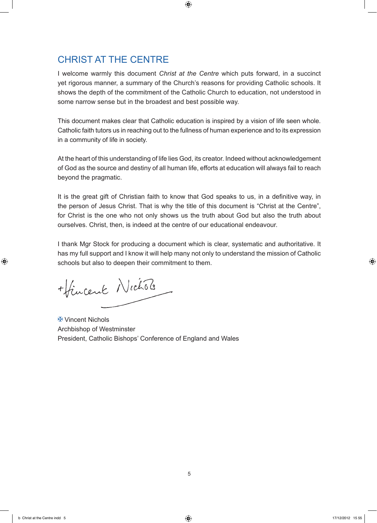# CHRIST AT THE CENTRE

I welcome warmly this document *Christ at the Centre* which puts forward, in a succinct yet rigorous manner, a summary of the Church's reasons for providing Catholic schools. It shows the depth of the commitment of the Catholic Church to education, not understood in some narrow sense but in the broadest and best possible way.

This document makes clear that Catholic education is inspired by a vision of life seen whole. Catholic faith tutors us in reaching out to the fullness of human experience and to its expression in a community of life in society.

At the heart of this understanding of life lies God, its creator. Indeed without acknowledgement of God as the source and destiny of all human life, efforts at education will always fail to reach beyond the pragmatic.

It is the great gift of Christian faith to know that God speaks to us, in a definitive way, in the person of Jesus Christ. That is why the title of this document is "Christ at the Centre", for Christ is the one who not only shows us the truth about God but also the truth about ourselves. Christ, then, is indeed at the centre of our educational endeavour.

I thank Mgr Stock for producing a document which is clear, systematic and authoritative. It has my full support and I know it will help many not only to understand the mission of Catholic schools but also to deepen their commitment to them.

+ fincent Nichols

✠ Vincent Nichols Archbishop of Westminster President, Catholic Bishops' Conference of England and Wales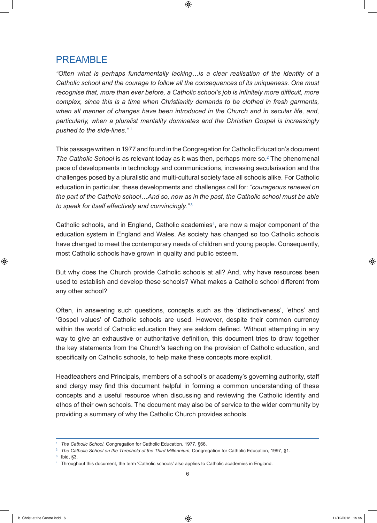# PREAMBLE

*"Often what is perhaps fundamentally lacking…is a clear realisation of the identity of a Catholic school and the courage to follow all the consequences of its uniqueness. One must recognise that, more than ever before, a Catholic school's job is infinitely more difficult, more complex, since this is a time when Christianity demands to be clothed in fresh garments, when all manner of changes have been introduced in the Church and in secular life, and, particularly, when a pluralist mentality dominates and the Christian Gospel is increasingly pushed to the side-lines."* <sup>1</sup>

This passage written in 1977 and found in the Congregation for Catholic Education's document The Catholic School is as relevant today as it was then, perhaps more so.<sup>2</sup> The phenomenal pace of developments in technology and communications, increasing secularisation and the challenges posed by a pluralistic and multi-cultural society face all schools alike. For Catholic education in particular, these developments and challenges call for: *"courageous renewal on the part of the Catholic school…And so, now as in the past, the Catholic school must be able to speak for itself effectively and convincingly."* <sup>3</sup>

Catholic schools, and in England, Catholic academies<sup>4</sup>, are now a major component of the education system in England and Wales. As society has changed so too Catholic schools have changed to meet the contemporary needs of children and young people. Consequently, most Catholic schools have grown in quality and public esteem.

But why does the Church provide Catholic schools at all? And, why have resources been used to establish and develop these schools? What makes a Catholic school different from any other school?

Often, in answering such questions, concepts such as the 'distinctiveness', 'ethos' and 'Gospel values' of Catholic schools are used. However, despite their common currency within the world of Catholic education they are seldom defined. Without attempting in any way to give an exhaustive or authoritative definition, this document tries to draw together the key statements from the Church's teaching on the provision of Catholic education, and specifically on Catholic schools, to help make these concepts more explicit.

Headteachers and Principals, members of a school's or academy's governing authority, staff and clergy may find this document helpful in forming a common understanding of these concepts and a useful resource when discussing and reviewing the Catholic identity and ethos of their own schools. The document may also be of service to the wider community by providing a summary of why the Catholic Church provides schools.

 $3$  Ibid, §3.

<sup>1</sup> *The Catholic School*, Congregation for Catholic Education, 1977, §66.

<sup>&</sup>lt;sup>2</sup> The Catholic School on the Threshold of the Third Millennium, Congregation for Catholic Education, 1997, §1.

<sup>&</sup>lt;sup>4</sup> Throughout this document, the term 'Catholic schools' also applies to Catholic academies in England.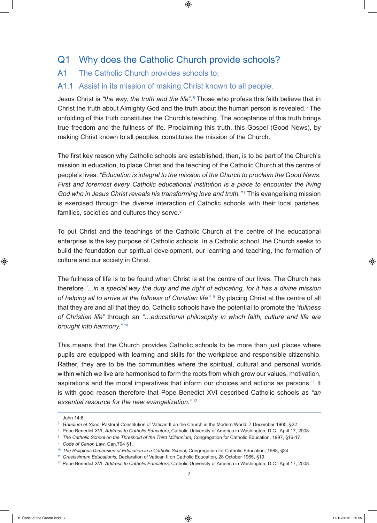# Q1 Why does the Catholic Church provide schools?

#### A1 The Catholic Church provides schools to:

#### A1.1 Assist in its mission of making Christ known to all people.

Jesus Christ is *"the way, the truth and the life"*. 5 Those who profess this faith believe that in Christ the truth about Almighty God and the truth about the human person is revealed.<sup>6</sup> The unfolding of this truth constitutes the Church's teaching. The acceptance of this truth brings true freedom and the fullness of life. Proclaiming this truth, this Gospel (Good News), by making Christ known to all peoples, constitutes the mission of the Church.

The first key reason why Catholic schools are established, then, is to be part of the Church's mission in education, to place Christ and the teaching of the Catholic Church at the centre of people's lives. *"Education is integral to the mission of the Church to proclaim the Good News. First and foremost every Catholic educational institution is a place to encounter the living*  God who in Jesus Christ reveals his transforming love and truth."<sup>7</sup> This evangelising mission is exercised through the diverse interaction of Catholic schools with their local parishes, families, societies and cultures they serve.<sup>8</sup>

To put Christ and the teachings of the Catholic Church at the centre of the educational enterprise is the key purpose of Catholic schools. In a Catholic school, the Church seeks to build the foundation our spiritual development, our learning and teaching, the formation of culture and our society in Christ.

The fullness of life is to be found when Christ is at the centre of our lives. The Church has therefore *"...in a special way the duty and the right of educating, for it has a divine mission*  of helping all to arrive at the fullness of Christian life". <sup>9</sup> By placing Christ at the centre of all that they are and all that they do, Catholic schools have the potential to promote the *"fullness of Christian life"* through an *"…educational philosophy in which faith, culture and life are brought into harmony."* <sup>10</sup>

This means that the Church provides Catholic schools to be more than just places where pupils are equipped with learning and skills for the workplace and responsible citizenship. Rather, they are to be the communities where the spiritual, cultural and personal worlds within which we live are harmonised to form the roots from which grow our values, motivation, aspirations and the moral imperatives that inform our choices and actions as persons.11 It is with good reason therefore that Pope Benedict XVI described Catholic schools as *"an essential resource for the new evangelization."* <sup>12</sup>

<sup>11</sup> *Gravissimum Educationis*, Declaration of Vatican II on Catholic Education, 28 October 1965, §19.

<sup>5</sup> John 14:6.

<sup>6</sup> *Gaudium et Spes*, Pastoral Constitution of Vatican II on the Church in the Modern World, 7 December 1965, §22.

<sup>7</sup> Pope Benedict XVI, *Address to Catholic Educators*, Catholic University of America in Washington, D.C., April 17, 2008.

<sup>8</sup> *The Catholic School on the Threshold of the Third Millennium*, Congregation for Catholic Education, 1997, §16-17.

<sup>9</sup> *Code of Canon Law*, Can.794 §1.

<sup>&</sup>lt;sup>10</sup> The Religious Dimension of Education in a Catholic School, Congregation for Catholic Education, 1988, §34.

<sup>12</sup> Pope Benedict XVI, *Address to Catholic Educators*, Catholic University of America in Washington, D.C., April 17, 2008.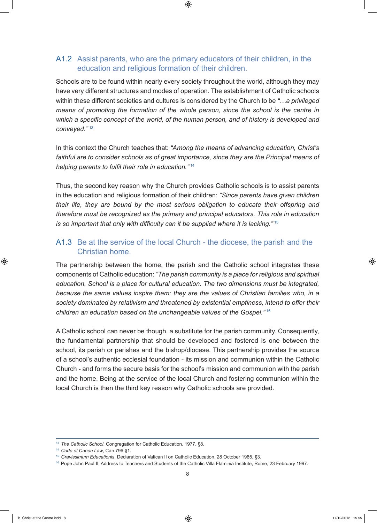#### A1.2 Assist parents, who are the primary educators of their children, in the education and religious formation of their children.

Schools are to be found within nearly every society throughout the world, although they may have very different structures and modes of operation. The establishment of Catholic schools within these different societies and cultures is considered by the Church to be *"…a privileged means of promoting the formation of the whole person, since the school is the centre in which a specific concept of the world, of the human person, and of history is developed and conveyed."* <sup>13</sup>

In this context the Church teaches that: *"Among the means of advancing education, Christ's*  faithful are to consider schools as of great importance, since they are the Principal means of *helping parents to fulfil their role in education."* <sup>14</sup>

Thus, the second key reason why the Church provides Catholic schools is to assist parents in the education and religious formation of their children: *"Since parents have given children their life, they are bound by the most serious obligation to educate their offspring and therefore must be recognized as the primary and principal educators. This role in education is so important that only with difficulty can it be supplied where it is lacking."* <sup>15</sup>

#### A1.3 Be at the service of the local Church - the diocese, the parish and the Christian home.

The partnership between the home, the parish and the Catholic school integrates these components of Catholic education: *"The parish community is a place for religious and spiritual education. School is a place for cultural education. The two dimensions must be integrated, because the same values inspire them: they are the values of Christian families who, in a society dominated by relativism and threatened by existential emptiness, intend to offer their children an education based on the unchangeable values of the Gospel."* <sup>16</sup>

A Catholic school can never be though, a substitute for the parish community. Consequently, the fundamental partnership that should be developed and fostered is one between the school, its parish or parishes and the bishop/diocese. This partnership provides the source of a school's authentic ecclesial foundation - its mission and communion within the Catholic Church - and forms the secure basis for the school's mission and communion with the parish and the home. Being at the service of the local Church and fostering communion within the local Church is then the third key reason why Catholic schools are provided.

<sup>13</sup> *The Catholic School*, Congregation for Catholic Education, 1977, §8.

<sup>14</sup> *Code of Canon Law*, Can.796 §1.

<sup>15</sup> *Gravissimum Educationis*, Declaration of Vatican II on Catholic Education, 28 October 1965, §3.

<sup>16</sup> Pope John Paul II, Address to Teachers and Students of the Catholic Villa Flaminia Institute, Rome, 23 February 1997.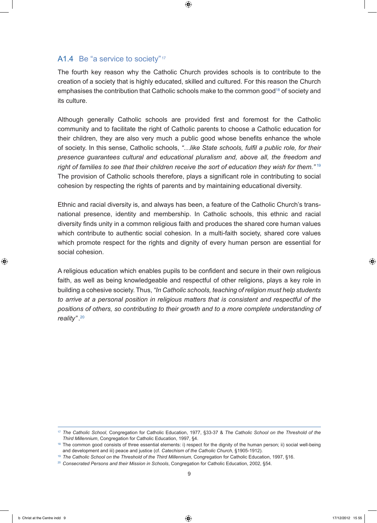#### A1.4 Be "a service to society"<sup>17</sup>

The fourth key reason why the Catholic Church provides schools is to contribute to the creation of a society that is highly educated, skilled and cultured. For this reason the Church emphasises the contribution that Catholic schools make to the common good<sup>18</sup> of society and its culture.

Although generally Catholic schools are provided first and foremost for the Catholic community and to facilitate the right of Catholic parents to choose a Catholic education for their children, they are also very much a public good whose benefits enhance the whole of society. In this sense, Catholic schools, *"…like State schools, fulfil a public role, for their presence guarantees cultural and educational pluralism and, above all, the freedom and right of families to see that their children receive the sort of education they wish for them."* <sup>19</sup> The provision of Catholic schools therefore, plays a significant role in contributing to social cohesion by respecting the rights of parents and by maintaining educational diversity.

Ethnic and racial diversity is, and always has been, a feature of the Catholic Church's transnational presence, identity and membership. In Catholic schools, this ethnic and racial diversity finds unity in a common religious faith and produces the shared core human values which contribute to authentic social cohesion. In a multi-faith society, shared core values which promote respect for the rights and dignity of every human person are essential for social cohesion.

A religious education which enables pupils to be confident and secure in their own religious faith, as well as being knowledgeable and respectful of other religions, plays a key role in building a cohesive society. Thus, *"In Catholic schools, teaching of religion must help students to arrive at a personal position in religious matters that is consistent and respectful of the positions of others, so contributing to their growth and to a more complete understanding of reality"* . 20

<sup>17</sup> *The Catholic School*, Congregation for Catholic Education, 1977, §33-37 & *The Catholic School on the Threshold of the Third Millennium*, Congregation for Catholic Education, 1997, §4.

<sup>18</sup> The common good consists of three essential elements: i) respect for the dignity of the human person; ii) social well-being and development and iii) peace and justice (cf. *Catechism of the Catholic Church*, §1905-1912).

<sup>19</sup> *The Catholic School on the Threshold of the Third Millennium*, Congregation for Catholic Education, 1997, §16.

<sup>20</sup> *Consecrated Persons and their Mission in Schools*, Congregation for Catholic Education, 2002, §54.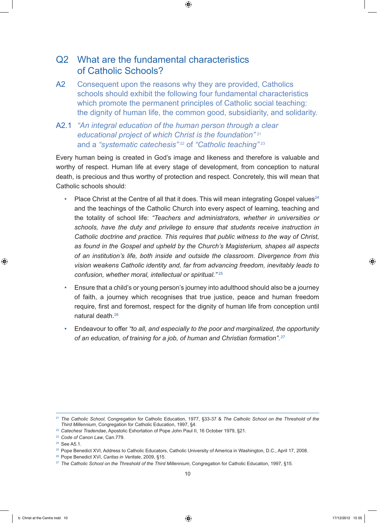# Q2 What are the fundamental characteristics of Catholic Schools?

- A2 Consequent upon the reasons why they are provided, Catholics schools should exhibit the following four fundamental characteristics which promote the permanent principles of Catholic social teaching: the dignity of human life, the common good, subsidiarity, and solidarity.
- A2.1 *"An integral education of the human person through a clear educational project of which Christ is the foundation"* <sup>21</sup> and a *"systematic catechesis"* 22 of *"Catholic teaching"* <sup>23</sup>

Every human being is created in God's image and likeness and therefore is valuable and worthy of respect. Human life at every stage of development, from conception to natural death, is precious and thus worthy of protection and respect. Concretely, this will mean that Catholic schools should:

- Place Christ at the Centre of all that it does. This will mean integrating Gospel values<sup>24</sup> and the teachings of the Catholic Church into every aspect of learning, teaching and the totality of school life: *"Teachers and administrators, whether in universities or schools, have the duty and privilege to ensure that students receive instruction in Catholic doctrine and practice. This requires that public witness to the way of Christ, as found in the Gospel and upheld by the Church's Magisterium, shapes all aspects of an institution's life, both inside and outside the classroom. Divergence from this vision weakens Catholic identity and, far from advancing freedom, inevitably leads to confusion, whether moral, intellectual or spiritual."* <sup>25</sup>
- Ensure that a child's or young person's journey into adulthood should also be a journey of faith, a journey which recognises that true justice, peace and human freedom require, first and foremost, respect for the dignity of human life from conception until natural death. 26
- Endeavour to offer *"to all, and especially to the poor and marginalized, the opportunity of an education, of training for a job, of human and Christian formation"*. <sup>27</sup>

<sup>21</sup> *The Catholic School*, Congregation for Catholic Education, 1977, §33-37 & *The Catholic School on the Threshold of the Third Millennium*, Congregation for Catholic Education, 1997, §4.

<sup>22</sup> *Catechesi Tradendae*, Apostolic Exhortation of Pope John Paul II, 16 October 1979, §21.

<sup>23</sup> *Code of Canon Law*, Can.779.

<sup>24</sup> See A5.1.

<sup>&</sup>lt;sup>25</sup> Pope Benedict XVI, Address to Catholic Educators, Catholic University of America in Washington, D.C., April 17, 2008.

<sup>26</sup> Pope Benedict XVI, *Caritas in Veritate*, 2009, §15.

<sup>27</sup> *The Catholic School on the Threshold of the Third Millennium*, Congregation for Catholic Education, 1997, §15.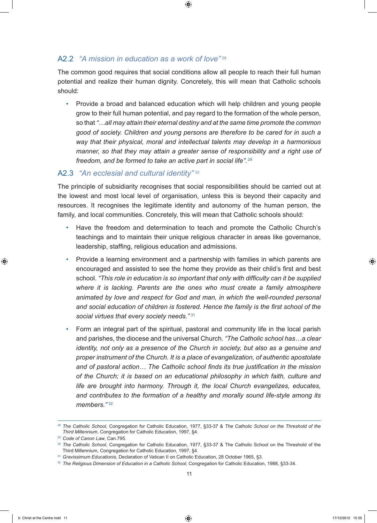#### A2.2 *"A mission in education as a work of love*"<sup>28</sup>

The common good requires that social conditions allow all people to reach their full human potential and realize their human dignity. Concretely, this will mean that Catholic schools should:

• Provide a broad and balanced education which will help children and young people grow to their full human potential, and pay regard to the formation of the whole person, so that *"…all may attain their eternal destiny and at the same time promote the common good of society. Children and young persons are therefore to be cared for in such a way that their physical, moral and intellectual talents may develop in a harmonious manner, so that they may attain a greater sense of responsibility and a right use of freedom, and be formed to take an active part in social life".* <sup>29</sup>

#### A2.3 *"An ecclesial and cultural identity"* <sup>30</sup>

The principle of subsidiarity recognises that social responsibilities should be carried out at the lowest and most local level of organisation, unless this is beyond their capacity and resources. It recognises the legitimate identity and autonomy of the human person, the family, and local communities. Concretely, this will mean that Catholic schools should:

- Have the freedom and determination to teach and promote the Catholic Church's teachings and to maintain their unique religious character in areas like governance, leadership, staffing, religious education and admissions.
- Provide a learning environment and a partnership with families in which parents are encouraged and assisted to see the home they provide as their child's first and best school. *"This role in education is so important that only with difficulty can it be supplied where it is lacking. Parents are the ones who must create a family atmosphere animated by love and respect for God and man, in which the well-rounded personal and social education of children is fostered. Hence the family is the first school of the social virtues that every society needs."* <sup>31</sup>
- Form an integral part of the spiritual, pastoral and community life in the local parish and parishes, the diocese and the universal Church. *"The Catholic school has…a clear identity, not only as a presence of the Church in society, but also as a genuine and proper instrument of the Church. It is a place of evangelization, of authentic apostolate and of pastoral action… The Catholic school finds its true justification in the mission of the Church; it is based on an educational philosophy in which faith, culture and life are brought into harmony. Through it, the local Church evangelizes, educates, and contributes to the formation of a healthy and morally sound life-style among its members."* <sup>32</sup>

<sup>28</sup> *The Catholic School*, Congregation for Catholic Education, 1977, §33-37 & *The Catholic School on the Threshold of the Third Millennium*, Congregation for Catholic Education, 1997, §4.

<sup>29</sup> *Code of Canon Law*, Can.795.

<sup>30</sup> *The Catholic School*, Congregation for Catholic Education, 1977, §33-37 & The Catholic School on the Threshold of the Third Millennium, Congregation for Catholic Education, 1997, §4.

<sup>31</sup> *Gravissimum Educationis*, Declaration of Vatican II on Catholic Education, 28 October 1965, §3.

<sup>32</sup> *The Religious Dimension of Education in a Catholic School*, Congregation for Catholic Education, 1988, §33-34.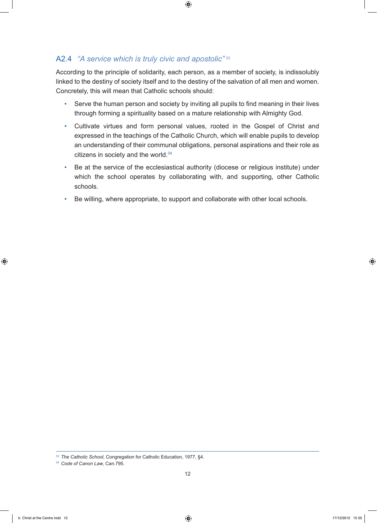# A2.4 *"A service which is truly civic and apostolic"* <sup>33</sup>

According to the principle of solidarity, each person, as a member of society, is indissolubly linked to the destiny of society itself and to the destiny of the salvation of all men and women. Concretely, this will mean that Catholic schools should:

- Serve the human person and society by inviting all pupils to find meaning in their lives through forming a spirituality based on a mature relationship with Almighty God.
- Cultivate virtues and form personal values, rooted in the Gospel of Christ and expressed in the teachings of the Catholic Church, which will enable pupils to develop an understanding of their communal obligations, personal aspirations and their role as citizens in society and the world.<sup>34</sup>
- Be at the service of the ecclesiastical authority (diocese or religious institute) under which the school operates by collaborating with, and supporting, other Catholic schools.
- Be willing, where appropriate, to support and collaborate with other local schools.

<sup>33</sup> *The Catholic School*, Congregation for Catholic Education, 1977, §4.

<sup>34</sup> *Code of Canon Law*, Can.795.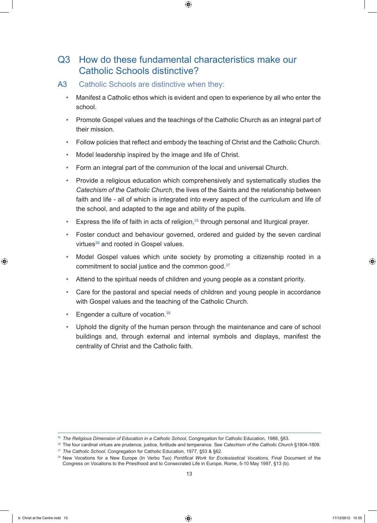# Q3 How do these fundamental characteristics make our Catholic Schools distinctive?

- A3 Catholic Schools are distinctive when they:
	- Manifest a Catholic ethos which is evident and open to experience by all who enter the school.
	- Promote Gospel values and the teachings of the Catholic Church as an integral part of their mission.
	- Follow policies that reflect and embody the teaching of Christ and the Catholic Church.
	- Model leadership inspired by the image and life of Christ.
	- Form an integral part of the communion of the local and universal Church.
	- Provide a religious education which comprehensively and systematically studies the *Catechism of the Catholic Church*, the lives of the Saints and the relationship between faith and life - all of which is integrated into every aspect of the curriculum and life of the school, and adapted to the age and ability of the pupils.
	- Express the life of faith in acts of religion,<sup>35</sup> through personal and liturgical prayer.
	- Foster conduct and behaviour governed, ordered and guided by the seven cardinal virtues<sup>36</sup> and rooted in Gospel values.
	- Model Gospel values which unite society by promoting a citizenship rooted in a commitment to social justice and the common good.37
	- Attend to the spiritual needs of children and young people as a constant priority.
	- Care for the pastoral and special needs of children and young people in accordance with Gospel values and the teaching of the Catholic Church.
	- Engender a culture of vocation.38
	- Uphold the dignity of the human person through the maintenance and care of school buildings and, through external and internal symbols and displays, manifest the centrality of Christ and the Catholic faith.

<sup>35</sup> *The Religious Dimension of Education in a Catholic School*, Congregation for Catholic Education, 1988, §83.

<sup>36</sup> The four cardinal virtues are prudence, justice, fortitude and temperance. See *Catechism of the Catholic Church* §1804-1809. <sup>37</sup> *The Catholic School*, Congregation for Catholic Education, 1977, §53 & §62.

<sup>38</sup> New Vocations for a New Europe (In Verbo Tuo) *Pontifical Work for Ecclesiastical Vocations*, Final Document of the Congress on Vocations to the Priesthood and to Consecrated Life in Europe, Rome, 5-10 May 1997, §13 (b).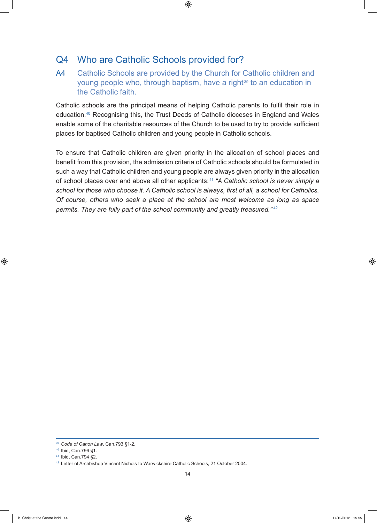# Q4 Who are Catholic Schools provided for?

A4 Catholic Schools are provided by the Church for Catholic children and young people who, through baptism, have a right<sup>39</sup> to an education in the Catholic faith.

Catholic schools are the principal means of helping Catholic parents to fulfil their role in education. 40 Recognising this, the Trust Deeds of Catholic dioceses in England and Wales enable some of the charitable resources of the Church to be used to try to provide sufficient places for baptised Catholic children and young people in Catholic schools.

To ensure that Catholic children are given priority in the allocation of school places and benefit from this provision, the admission criteria of Catholic schools should be formulated in such a way that Catholic children and young people are always given priority in the allocation of school places over and above all other applicants: <sup>41</sup> *"A Catholic school is never simply a school for those who choose it. A Catholic school is always, first of all, a school for Catholics. Of course, others who seek a place at the school are most welcome as long as space permits. They are fully part of the school community and greatly treasured."* <sup>42</sup>

<sup>39</sup> *Code of Canon Law*, Can.793 §1-2.

<sup>40</sup> Ibid, Can.796 §1.

<sup>41</sup> Ibid, Can.794 §2.

<sup>42</sup> Letter of Archbishop Vincent Nichols to Warwickshire Catholic Schools, 21 October 2004.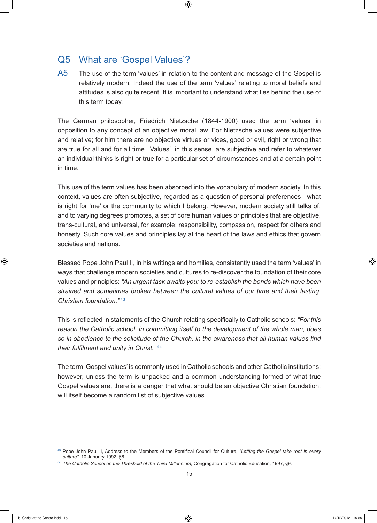# Q5 What are 'Gospel Values'?

A5 The use of the term 'values' in relation to the content and message of the Gospel is relatively modern. Indeed the use of the term 'values' relating to moral beliefs and attitudes is also quite recent. It is important to understand what lies behind the use of this term today.

The German philosopher, Friedrich Nietzsche (1844-1900) used the term 'values' in opposition to any concept of an objective moral law. For Nietzsche values were subjective and relative; for him there are no objective virtues or vices, good or evil, right or wrong that are true for all and for all time. 'Values', in this sense, are subjective and refer to whatever an individual thinks is right or true for a particular set of circumstances and at a certain point in time.

This use of the term values has been absorbed into the vocabulary of modern society. In this context, values are often subjective, regarded as a question of personal preferences - what is right for 'me' or the community to which I belong. However, modern society still talks of, and to varying degrees promotes, a set of core human values or principles that are objective, trans-cultural, and universal, for example: responsibility, compassion, respect for others and honesty. Such core values and principles lay at the heart of the laws and ethics that govern societies and nations.

Blessed Pope John Paul II, in his writings and homilies, consistently used the term 'values' in ways that challenge modern societies and cultures to re-discover the foundation of their core values and principles: *"An urgent task awaits you: to re-establish the bonds which have been strained and sometimes broken between the cultural values of our time and their lasting, Christian foundation."* <sup>43</sup>

This is reflected in statements of the Church relating specifically to Catholic schools: *"For this reason the Catholic school, in committing itself to the development of the whole man, does so in obedience to the solicitude of the Church, in the awareness that all human values find their fulfilment and unity in Christ."* <sup>44</sup>

The term 'Gospel values' is commonly used in Catholic schools and other Catholic institutions; however, unless the term is unpacked and a common understanding formed of what true Gospel values are, there is a danger that what should be an objective Christian foundation, will itself become a random list of subjective values.

<sup>43</sup> Pope John Paul II, Address to the Members of the Pontifical Council for Culture, *"Letting the Gospel take root in every culture"*, 10 January 1992, §6.

<sup>44</sup> *The Catholic School on the Threshold of the Third Millennium*, Congregation for Catholic Education, 1997, §9.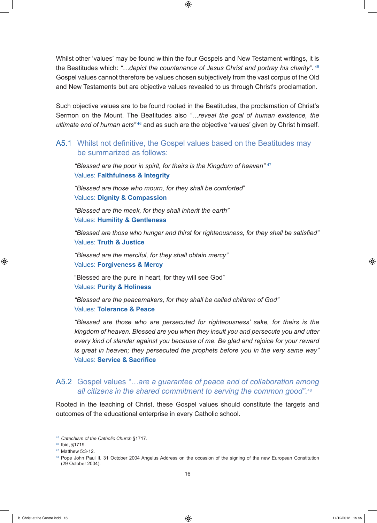Whilst other 'values' may be found within the four Gospels and New Testament writings, it is the Beatitudes which: *"…depict the countenance of Jesus Christ and portray his charity".* <sup>45</sup> Gospel values cannot therefore be values chosen subjectively from the vast corpus of the Old and New Testaments but are objective values revealed to us through Christ's proclamation.

Such objective values are to be found rooted in the Beatitudes, the proclamation of Christ's Sermon on the Mount. The Beatitudes also *"…reveal the goal of human existence, the ultimate end of human acts*<sup>"46</sup> and as such are the objective 'values' given by Christ himself.

#### A5.1 Whilst not definitive, the Gospel values based on the Beatitudes may be summarized as follows:

*"Blessed are the poor in spirit, for theirs is the Kingdom of heaven"* <sup>47</sup> Values: **Faithfulness & Integrity**

*"Blessed are those who mourn, for they shall be comforted*" Values: **Dignity & Compassion**

*"Blessed are the meek, for they shall inherit the earth"* Values: **Humility & Gentleness**

*"Blessed are those who hunger and thirst for righteousness, for they shall be satisfied"* Values: **Truth & Justice**

*"Blessed are the merciful, for they shall obtain mercy"* Values: **Forgiveness & Mercy**

"Blessed are the pure in heart, for they will see God" Values: **Purity & Holiness**

*"Blessed are the peacemakers, for they shall be called children of God"*  Values: **Tolerance & Peace**

*"Blessed are those who are persecuted for righteousness' sake, for theirs is the kingdom of heaven. Blessed are you when they insult you and persecute you and utter every kind of slander against you because of me. Be glad and rejoice for your reward is great in heaven; they persecuted the prophets before you in the very same way"* Values: **Service & Sacrifice**

#### A5.2 Gospel values *"…are a guarantee of peace and of collaboration among all citizens in the shared commitment to serving the common good"*.<sup>48</sup>

Rooted in the teaching of Christ, these Gospel values should constitute the targets and outcomes of the educational enterprise in every Catholic school.

<sup>45</sup> *Catechism of the Catholic Church* §1717.

<sup>46</sup> Ibid, §1719.

<sup>47</sup> Matthew 5:3-12.

<sup>48</sup> Pope John Paul II, 31 October 2004 Angelus Address on the occasion of the signing of the new European Constitution (29 October 2004).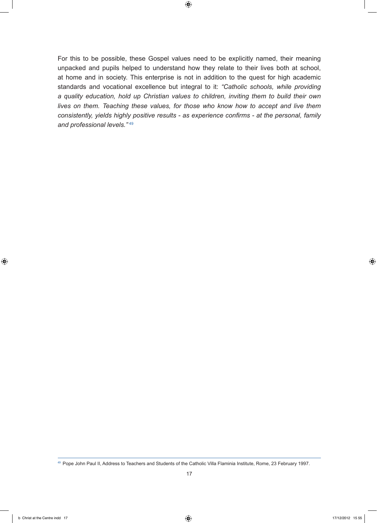For this to be possible, these Gospel values need to be explicitly named, their meaning unpacked and pupils helped to understand how they relate to their lives both at school, at home and in society. This enterprise is not in addition to the quest for high academic standards and vocational excellence but integral to it: *"Catholic schools, while providing a quality education, hold up Christian values to children, inviting them to build their own lives on them. Teaching these values, for those who know how to accept and live them consistently, yields highly positive results - as experience confirms - at the personal, family and professional levels."* <sup>49</sup>

<sup>49</sup> Pope John Paul II, Address to Teachers and Students of the Catholic Villa Flaminia Institute, Rome, 23 February 1997.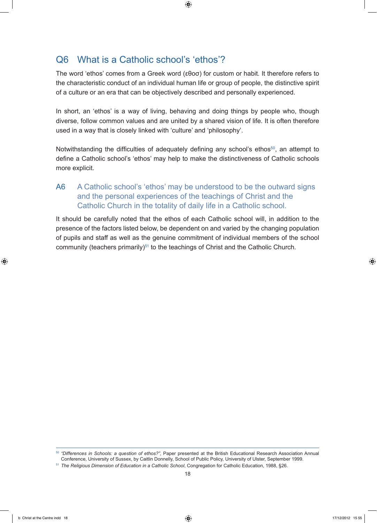# Q6 What is a Catholic school's 'ethos'?

The word 'ethos' comes from a Greek word (εθοσ) for custom or habit. It therefore refers to the characteristic conduct of an individual human life or group of people, the distinctive spirit of a culture or an era that can be objectively described and personally experienced.

In short, an 'ethos' is a way of living, behaving and doing things by people who, though diverse, follow common values and are united by a shared vision of life. It is often therefore used in a way that is closely linked with 'culture' and 'philosophy'.

Notwithstanding the difficulties of adequately defining any school's ethos<sup>50</sup>, an attempt to define a Catholic school's 'ethos' may help to make the distinctiveness of Catholic schools more explicit.

# A6 A Catholic school's 'ethos' may be understood to be the outward signs and the personal experiences of the teachings of Christ and the Catholic Church in the totality of daily life in a Catholic school.

It should be carefully noted that the ethos of each Catholic school will, in addition to the presence of the factors listed below, be dependent on and varied by the changing population of pupils and staff as well as the genuine commitment of individual members of the school community (teachers primarily)<sup>51</sup> to the teachings of Christ and the Catholic Church.

<sup>50</sup> *"Differences in Schools: a question of ethos?"*, Paper presented at the British Educational Research Association Annual Conference, University of Sussex, by Caitlin Donnelly, School of Public Policy, University of Ulster, September 1999.

<sup>51</sup> *The Religious Dimension of Education in a Catholic School*, Congregation for Catholic Education, 1988, §26.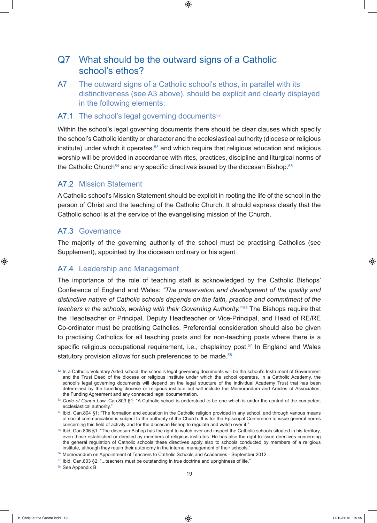# Q7 What should be the outward signs of a Catholic school's ethos?

A7 The outward signs of a Catholic school's ethos, in parallel with its distinctiveness (see A3 above), should be explicit and clearly displayed in the following elements:

#### A7.1 The school's legal governing documents $52$

Within the school's legal governing documents there should be clear clauses which specify the school's Catholic identity or character and the ecclesiastical authority (diocese or religious institute) under which it operates, $53$  and which require that religious education and religious worship will be provided in accordance with rites, practices, discipline and liturgical norms of the Catholic Church<sup>54</sup> and any specific directives issued by the diocesan Bishop.<sup>55</sup>

#### A7.2 Mission Statement

A Catholic school's Mission Statement should be explicit in rooting the life of the school in the person of Christ and the teaching of the Catholic Church. It should express clearly that the Catholic school is at the service of the evangelising mission of the Church.

#### A7.3 Governance

The majority of the governing authority of the school must be practising Catholics (see Supplement), appointed by the diocesan ordinary or his agent.

#### A7.4 Leadership and Management

The importance of the role of teaching staff is acknowledged by the Catholic Bishops' Conference of England and Wales: *"The preservation and development of the quality and distinctive nature of Catholic schools depends on the faith, practice and commitment of the teachers in the schools, working with their Governing Authority."* 56 The Bishops require that the Headteacher or Principal, Deputy Headteacher or Vice-Principal, and Head of RE/RE Co-ordinator must be practising Catholics. Preferential consideration should also be given to practising Catholics for all teaching posts and for non-teaching posts where there is a specific religious occupational requirement, i.e., chaplaincy post.<sup>57</sup> In England and Wales statutory provision allows for such preferences to be made.<sup>58</sup>

<sup>58</sup> See Appendix B.

<sup>&</sup>lt;sup>52</sup> In a Catholic Voluntary Aided school, the school's legal governing documents will be the school's Instrument of Government and the Trust Deed of the diocese or religious institute under which the school operates. In a Catholic Academy, the school's legal governing documents will depend on the legal structure of the individual Academy Trust that has been determined by the founding diocese or religious institute but will include the Memorandum and Articles of Association, the Funding Agreement and any connected legal documentation.

<sup>53</sup> *Code of Canon Law*, Can.803 §1: "A Catholic school is understood to be one which is under the control of the competent ecclesiastical authority."

<sup>54</sup> Ibid, Can.804 §1: "The formation and education in the Catholic religion provided in any school, and through various means of social communication is subject to the authority of the Church. It is for the Episcopal Conference to issue general norms concerning this field of activity and for the diocesan Bishop to regulate and watch over it."

<sup>55</sup> Ibid, Can.806 §1: "The diocesan Bishop has the right to watch over and inspect the Catholic schools situated in his territory, even those established or directed by members of religious institutes. He has also the right to issue directives concerning the general regulation of Catholic schools these directives apply also to schools conducted by members of a religious institute, although they retain their autonomy in the internal management of their schools."

<sup>56</sup> Memorandum on Appointment of Teachers to Catholic Schools and Academies - September 2012.

<sup>57</sup> Ibid, Can.803 §2: "...teachers must be outstanding in true doctrine and uprightness of life."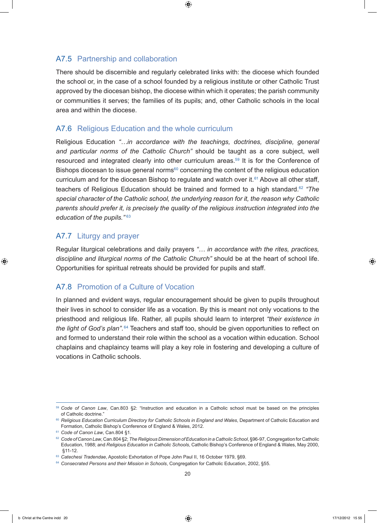#### A7.5 Partnership and collaboration

There should be discernible and regularly celebrated links with: the diocese which founded the school or, in the case of a school founded by a religious institute or other Catholic Trust approved by the diocesan bishop, the diocese within which it operates; the parish community or communities it serves; the families of its pupils; and, other Catholic schools in the local area and within the diocese.

#### A7.6 Religious Education and the whole curriculum

Religious Education *"…in accordance with the teachings, doctrines, discipline, general and particular norms of the Catholic Church"* should be taught as a core subject, well resourced and integrated clearly into other curriculum areas.<sup>59</sup> It is for the Conference of Bishops diocesan to issue general norms $60$  concerning the content of the religious education curriculum and for the diocesan Bishop to regulate and watch over it.<sup>61</sup> Above all other staff, teachers of Religious Education should be trained and formed to a high standard.62 *"The special character of the Catholic school, the underlying reason for it, the reason why Catholic parents should prefer it, is precisely the quality of the religious instruction integrated into the education of the pupils."* <sup>63</sup>

#### A7.7 Liturgy and prayer

Regular liturgical celebrations and daily prayers *"… in accordance with the rites, practices, discipline and liturgical norms of the Catholic Church"* should be at the heart of school life. Opportunities for spiritual retreats should be provided for pupils and staff.

#### A7.8 Promotion of a Culture of Vocation

In planned and evident ways, regular encouragement should be given to pupils throughout their lives in school to consider life as a vocation. By this is meant not only vocations to the priesthood and religious life. Rather, all pupils should learn to interpret *"their existence in the light of God's plan"*. 64 Teachers and staff too, should be given opportunities to reflect on and formed to understand their role within the school as a vocation within education. School chaplains and chaplaincy teams will play a key role in fostering and developing a culture of vocations in Catholic schools.

<sup>59</sup> *Code of Canon Law*, Can.803 §2: "Instruction and education in a Catholic school must be based on the principles of Catholic doctrine."

<sup>&</sup>lt;sup>60</sup> Religious Education Curriculum Directory for Catholic Schools in England and Wales, Department of Catholic Education and Formation, Catholic Bishop's Conference of England & Wales, 2012.

<sup>61</sup> *Code of Canon Law*, Can.804 §1.

<sup>62</sup> *Code of Canon Law*, Can.804 §2; *The Religious Dimension of Education in a Catholic School*, §96-97, Congregation for Catholic Education, 1988; and *Religious Education in Catholic Schools*, Catholic Bishop's Conference of England & Wales, May 2000, §11-12.

<sup>&</sup>lt;sup>63</sup> Catechesi Tradendae, Apostolic Exhortation of Pope John Paul II, 16 October 1979, §69.

<sup>64</sup> *Consecrated Persons and their Mission in Schools*, Congregation for Catholic Education, 2002, §55.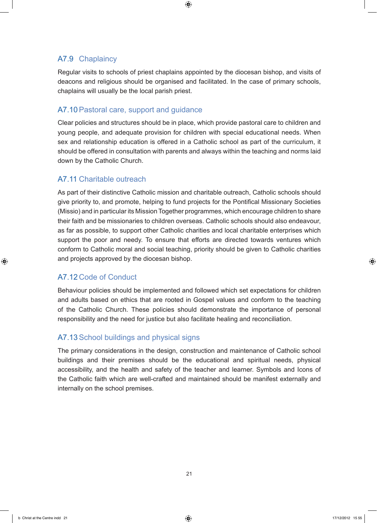# A7.9 Chaplaincy

Regular visits to schools of priest chaplains appointed by the diocesan bishop, and visits of deacons and religious should be organised and facilitated. In the case of primary schools, chaplains will usually be the local parish priest.

## A7.10Pastoral care, support and guidance

Clear policies and structures should be in place, which provide pastoral care to children and young people, and adequate provision for children with special educational needs. When sex and relationship education is offered in a Catholic school as part of the curriculum, it should be offered in consultation with parents and always within the teaching and norms laid down by the Catholic Church.

## A7.11 Charitable outreach

As part of their distinctive Catholic mission and charitable outreach, Catholic schools should give priority to, and promote, helping to fund projects for the Pontifical Missionary Societies (Missio) and in particular its Mission Together programmes, which encourage children to share their faith and be missionaries to children overseas. Catholic schools should also endeavour, as far as possible, to support other Catholic charities and local charitable enterprises which support the poor and needy. To ensure that efforts are directed towards ventures which conform to Catholic moral and social teaching, priority should be given to Catholic charities and projects approved by the diocesan bishop.

# A7.12 Code of Conduct

Behaviour policies should be implemented and followed which set expectations for children and adults based on ethics that are rooted in Gospel values and conform to the teaching of the Catholic Church. These policies should demonstrate the importance of personal responsibility and the need for justice but also facilitate healing and reconciliation.

# A7.13School buildings and physical signs

The primary considerations in the design, construction and maintenance of Catholic school buildings and their premises should be the educational and spiritual needs, physical accessibility, and the health and safety of the teacher and learner. Symbols and Icons of the Catholic faith which are well-crafted and maintained should be manifest externally and internally on the school premises.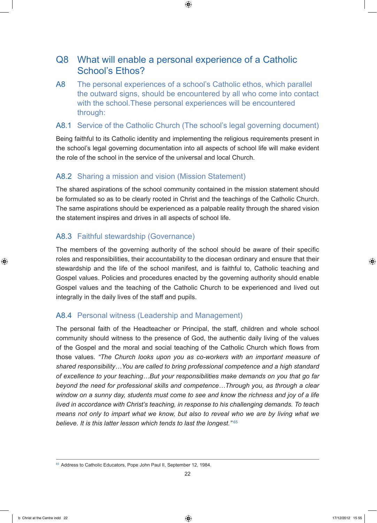# Q8 What will enable a personal experience of a Catholic School's Ethos?

A8 The personal experiences of a school's Catholic ethos, which parallel the outward signs, should be encountered by all who come into contact with the school.These personal experiences will be encountered through:

#### A8.1 Service of the Catholic Church (The school's legal governing document)

Being faithful to its Catholic identity and implementing the religious requirements present in the school's legal governing documentation into all aspects of school life will make evident the role of the school in the service of the universal and local Church.

## A8.2 Sharing a mission and vision (Mission Statement)

The shared aspirations of the school community contained in the mission statement should be formulated so as to be clearly rooted in Christ and the teachings of the Catholic Church. The same aspirations should be experienced as a palpable reality through the shared vision the statement inspires and drives in all aspects of school life.

# A8.3 Faithful stewardship (Governance)

The members of the governing authority of the school should be aware of their specific roles and responsibilities, their accountability to the diocesan ordinary and ensure that their stewardship and the life of the school manifest, and is faithful to, Catholic teaching and Gospel values. Policies and procedures enacted by the governing authority should enable Gospel values and the teaching of the Catholic Church to be experienced and lived out integrally in the daily lives of the staff and pupils.

# A8.4 Personal witness (Leadership and Management)

The personal faith of the Headteacher or Principal, the staff, children and whole school community should witness to the presence of God, the authentic daily living of the values of the Gospel and the moral and social teaching of the Catholic Church which flows from those values. *"The Church looks upon you as co-workers with an important measure of shared responsibility…You are called to bring professional competence and a high standard of excellence to your teaching…But your responsibilities make demands on you that go far beyond the need for professional skills and competence…Through you, as through a clear window on a sunny day, students must come to see and know the richness and joy of a life lived in accordance with Christ's teaching, in response to his challenging demands. To teach means not only to impart what we know, but also to reveal who we are by living what we believe. It is this latter lesson which tends to last the longest."* <sup>65</sup>

<sup>&</sup>lt;sup>65</sup> Address to Catholic Educators, Pope John Paul II, September 12, 1984.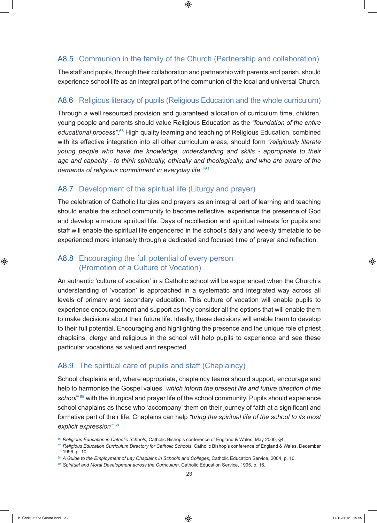## A8.5 Communion in the family of the Church (Partnership and collaboration)

The staff and pupils, through their collaboration and partnership with parents and parish, should experience school life as an integral part of the communion of the local and universal Church.

## A8.6 Religious literacy of pupils (Religious Education and the whole curriculum)

Through a well resourced provision and guaranteed allocation of curriculum time, children, young people and parents should value Religious Education as the *"foundation of the entire educational process"*. 66 High quality learning and teaching of Religious Education, combined with its effective integration into all other curriculum areas, should form *"religiously literate young people who have the knowledge, understanding and skills - appropriate to their age and capacity - to think spiritually, ethically and theologically, and who are aware of the demands of religious commitment in everyday life."* <sup>67</sup>

## A8.7 Development of the spiritual life (Liturgy and prayer)

The celebration of Catholic liturgies and prayers as an integral part of learning and teaching should enable the school community to become reflective, experience the presence of God and develop a mature spiritual life. Days of recollection and spiritual retreats for pupils and staff will enable the spiritual life engendered in the school's daily and weekly timetable to be experienced more intensely through a dedicated and focused time of prayer and reflection.

#### A8.8 Encouraging the full potential of every person (Promotion of a Culture of Vocation)

An authentic 'culture of vocation' in a Catholic school will be experienced when the Church's understanding of 'vocation' is approached in a systematic and integrated way across all levels of primary and secondary education. This culture of vocation will enable pupils to experience encouragement and support as they consider all the options that will enable them to make decisions about their future life. Ideally, these decisions will enable them to develop to their full potential. Encouraging and highlighting the presence and the unique role of priest chaplains, clergy and religious in the school will help pupils to experience and see these particular vocations as valued and respected.

#### A8.9 The spiritual care of pupils and staff (Chaplaincy)

School chaplains and, where appropriate, chaplaincy teams should support, encourage and help to harmonise the Gospel values *"which inform the present life and future direction of the school"* 68 with the liturgical and prayer life of the school community. Pupils should experience school chaplains as those who 'accompany' them on their journey of faith at a significant and formative part of their life. Chaplains can help *"bring the spiritual life of the school to its most explicit expression"*. 69

<sup>66</sup> *Religious Education in Catholic Schools*, Catholic Bishop's conference of England & Wales, May 2000, §4.

<sup>&</sup>lt;sup>67</sup> Religious Education Curriculum Directory for Catholic Schools, Catholic Bishop's conference of England & Wales, December 1996, p. 10.

<sup>68</sup> *A Guide to the Employment of Lay Chaplains in Schools and Colleges*, Catholic Education Service, 2004, p. 10.

<sup>69</sup> Spiritual and Moral Development across the Curriculum, Catholic Education Service, 1995, p. 16.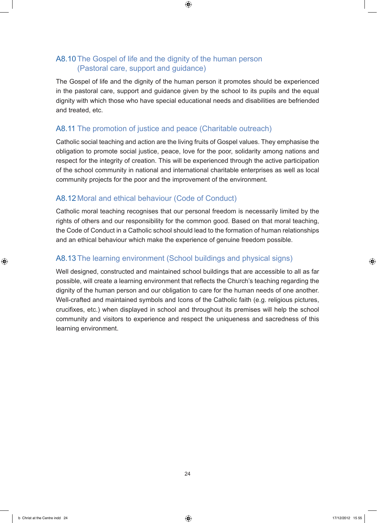# A8.10 The Gospel of life and the dignity of the human person (Pastoral care, support and guidance)

The Gospel of life and the dignity of the human person it promotes should be experienced in the pastoral care, support and guidance given by the school to its pupils and the equal dignity with which those who have special educational needs and disabilities are befriended and treated, etc.

# A8.11 The promotion of justice and peace (Charitable outreach)

Catholic social teaching and action are the living fruits of Gospel values. They emphasise the obligation to promote social justice, peace, love for the poor, solidarity among nations and respect for the integrity of creation. This will be experienced through the active participation of the school community in national and international charitable enterprises as well as local community projects for the poor and the improvement of the environment.

# A8.12 Moral and ethical behaviour (Code of Conduct)

Catholic moral teaching recognises that our personal freedom is necessarily limited by the rights of others and our responsibility for the common good. Based on that moral teaching, the Code of Conduct in a Catholic school should lead to the formation of human relationships and an ethical behaviour which make the experience of genuine freedom possible.

# A8.13 The learning environment (School buildings and physical signs)

Well designed, constructed and maintained school buildings that are accessible to all as far possible, will create a learning environment that reflects the Church's teaching regarding the dignity of the human person and our obligation to care for the human needs of one another. Well-crafted and maintained symbols and Icons of the Catholic faith (e.g. religious pictures, crucifixes, etc.) when displayed in school and throughout its premises will help the school community and visitors to experience and respect the uniqueness and sacredness of this learning environment.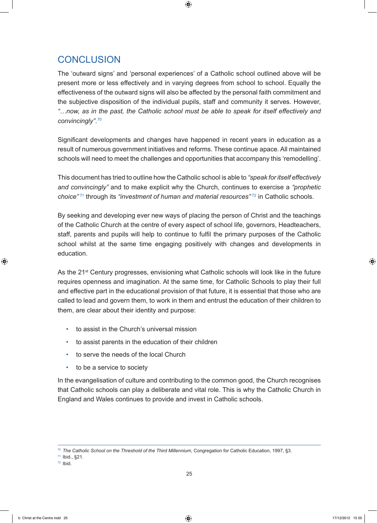# **CONCLUSION**

The 'outward signs' and 'personal experiences' of a Catholic school outlined above will be present more or less effectively and in varying degrees from school to school. Equally the effectiveness of the outward signs will also be affected by the personal faith commitment and the subjective disposition of the individual pupils, staff and community it serves. However, *"…now, as in the past, the Catholic school must be able to speak for itself effectively and convincingly"*. 70

Significant developments and changes have happened in recent years in education as a result of numerous government initiatives and reforms. These continue apace. All maintained schools will need to meet the challenges and opportunities that accompany this 'remodelling'.

This document has tried to outline how the Catholic school is able to *"speak for itself effectively and convincingly"* and to make explicit why the Church, continues to exercise a *"prophetic choice*"<sup>71</sup> through its "*investment of human and material resources*"<sup>72</sup> in Catholic schools.

By seeking and developing ever new ways of placing the person of Christ and the teachings of the Catholic Church at the centre of every aspect of school life, governors, Headteachers, staff, parents and pupils will help to continue to fulfil the primary purposes of the Catholic school whilst at the same time engaging positively with changes and developments in education.

As the 21<sup>st</sup> Century progresses, envisioning what Catholic schools will look like in the future requires openness and imagination. At the same time, for Catholic Schools to play their full and effective part in the educational provision of that future, it is essential that those who are called to lead and govern them, to work in them and entrust the education of their children to them, are clear about their identity and purpose:

- to assist in the Church's universal mission
- to assist parents in the education of their children
- to serve the needs of the local Church
- to be a service to society

In the evangelisation of culture and contributing to the common good, the Church recognises that Catholic schools can play a deliberate and vital role. This is why the Catholic Church in England and Wales continues to provide and invest in Catholic schools.

<sup>70</sup> *The Catholic School on the Threshold of the Third Millennium*, Congregation for Catholic Education, 1997, §3.

<sup>71</sup> Ibid., §21.

<sup>72</sup> Ibid.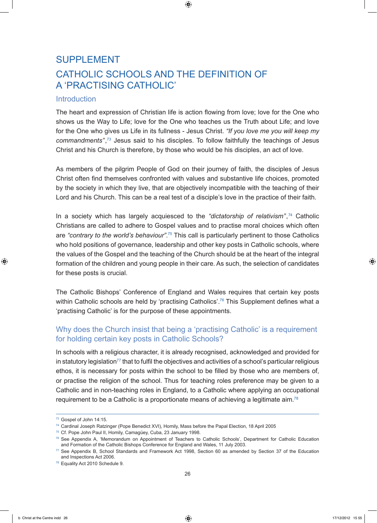# SUPPLEMENT CATHOLIC SCHOOLS AND THE DEFINITION OF A 'PRACTISING CATHOLIC'

#### **Introduction**

The heart and expression of Christian life is action flowing from love; love for the One who shows us the Way to Life; love for the One who teaches us the Truth about Life; and love for the One who gives us Life in its fullness - Jesus Christ. *"If you love me you will keep my*  commandments",<sup>73</sup> Jesus said to his disciples. To follow faithfully the teachings of Jesus Christ and his Church is therefore, by those who would be his disciples, an act of love.

As members of the pilgrim People of God on their journey of faith, the disciples of Jesus Christ often find themselves confronted with values and substantive life choices, promoted by the society in which they live, that are objectively incompatible with the teaching of their Lord and his Church. This can be a real test of a disciple's love in the practice of their faith.

In a society which has largely acquiesced to the *"dictatorship of relativism"*, <sup>74</sup> Catholic Christians are called to adhere to Gospel values and to practise moral choices which often are *"contrary to the world's behaviour"*. 75 This call is particularly pertinent to those Catholics who hold positions of governance, leadership and other key posts in Catholic schools, where the values of the Gospel and the teaching of the Church should be at the heart of the integral formation of the children and young people in their care. As such, the selection of candidates for these posts is crucial.

The Catholic Bishops' Conference of England and Wales requires that certain key posts within Catholic schools are held by 'practising Catholics'.<sup>76</sup> This Supplement defines what a 'practising Catholic' is for the purpose of these appointments.

## Why does the Church insist that being a 'practising Catholic' is a requirement for holding certain key posts in Catholic Schools?

In schools with a religious character, it is already recognised, acknowledged and provided for in statutory legislation<sup>77</sup> that to fulfil the objectives and activities of a school's particular religious ethos, it is necessary for posts within the school to be filled by those who are members of, or practise the religion of the school. Thus for teaching roles preference may be given to a Catholic and in non-teaching roles in England, to a Catholic where applying an occupational requirement to be a Catholic is a proportionate means of achieving a legitimate aim.<sup>78</sup>

<sup>73</sup> Gospel of John 14:15.

<sup>74</sup> Cardinal Joseph Ratzinger (Pope Benedict XVI), Homily, Mass before the Papal Election, 18 April 2005

<sup>75</sup> Cf. Pope John Paul II, Homily, Camagüey, Cuba, 23 January 1998.

<sup>76</sup> See Appendix A, 'Memorandum on Appointment of Teachers to Catholic Schools', Department for Catholic Education and Formation of the Catholic Bishops Conference for England and Wales, 11 July 2003.

<sup>77</sup> See Appendix B, School Standards and Framework Act 1998, Section 60 as amended by Section 37 of the Education and Inspections Act 2006.

<sup>78</sup> Equality Act 2010 Schedule 9.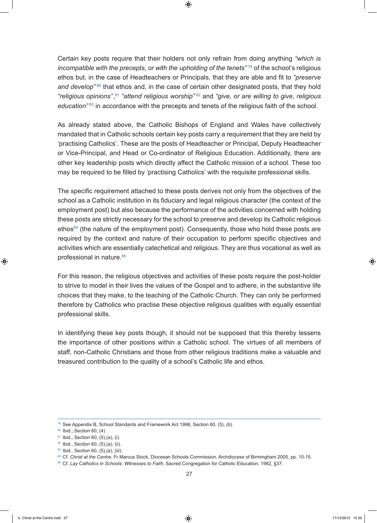Certain key posts require that their holders not only refrain from doing anything *"which is incompatible with the precepts, or with the upholding of the tenets<sup>"79</sup> of the school's religious* ethos but, in the case of Headteachers or Principals, that they are able and fit to *"preserve*  and develop<sup>"80</sup> that ethos and, in the case of certain other designated posts, that they hold *"religious opinions"*, <sup>81</sup> *"attend religious worship"* <sup>82</sup> and *"give, or are willing to give, religious education"* 83 in accordance with the precepts and tenets of the religious faith of the school.

As already stated above, the Catholic Bishops of England and Wales have collectively mandated that in Catholic schools certain key posts carry a requirement that they are held by 'practising Catholics'. These are the posts of Headteacher or Principal, Deputy Headteacher or Vice-Principal, and Head or Co-ordinator of Religious Education. Additionally, there are other key leadership posts which directly affect the Catholic mission of a school. These too may be required to be filled by 'practising Catholics' with the requisite professional skills.

The specific requirement attached to these posts derives not only from the objectives of the school as a Catholic institution in its fiduciary and legal religious character (the context of the employment post) but also because the performance of the activities concerned with holding these posts are strictly necessary for the school to preserve and develop its Catholic religious ethos<sup>84</sup> (the nature of the employment post). Consequently, those who hold these posts are required by the context and nature of their occupation to perform specific objectives and activities which are essentially catechetical and religious. They are thus vocational as well as professional in nature.85

For this reason, the religious objectives and activities of these posts require the post-holder to strive to model in their lives the values of the Gospel and to adhere, in the substantive life choices that they make, to the teaching of the Catholic Church. They can only be performed therefore by Catholics who practise these objective religious qualities with equally essential professional skills.

In identifying these key posts though, it should not be supposed that this thereby lessens the importance of other positions within a Catholic school. The virtues of all members of staff, non-Catholic Christians and those from other religious traditions make a valuable and treasured contribution to the quality of a school's Catholic life and ethos.

<sup>79</sup> See Appendix B, School Standards and Framework Act 1998, Section 60, (5), (b).

<sup>80</sup> Ibid., Section 60, (4).

<sup>81</sup> Ibid., Section 60, (5), (a), (i).

 $82$  Ibid., Section 60, (5),(a), (ii).

<sup>83</sup> Ibid., Section 60, (5), (a), (iii).

<sup>84</sup> Cf. Christ at the Centre, Fr Marcus Stock, Diocesan Schools Commission, Archdiocese of Birmingham 2005, pp. 10-15.

<sup>85</sup> Cf. *Lay Catholics in Schools: Witnesses to Faith*, Sacred Congregation for Catholic Education, 1982, §37.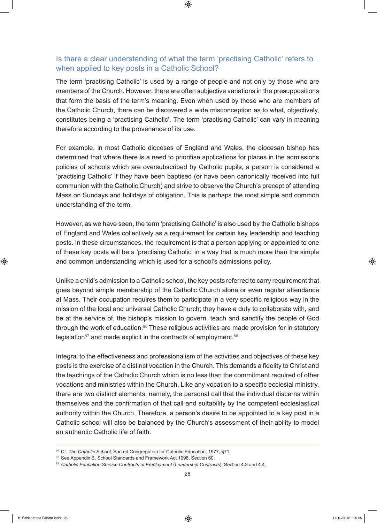#### Is there a clear understanding of what the term 'practising Catholic' refers to when applied to key posts in a Catholic School?

The term 'practising Catholic' is used by a range of people and not only by those who are members of the Church. However, there are often subjective variations in the presuppositions that form the basis of the term's meaning. Even when used by those who are members of the Catholic Church, there can be discovered a wide misconception as to what, objectively, constitutes being a 'practising Catholic'. The term 'practising Catholic' can vary in meaning therefore according to the provenance of its use.

For example, in most Catholic dioceses of England and Wales, the diocesan bishop has determined that where there is a need to prioritise applications for places in the admissions policies of schools which are oversubscribed by Catholic pupils, a person is considered a 'practising Catholic' if they have been baptised (or have been canonically received into full communion with the Catholic Church) and strive to observe the Church's precept of attending Mass on Sundays and holidays of obligation. This is perhaps the most simple and common understanding of the term.

However, as we have seen, the term 'practising Catholic' is also used by the Catholic bishops of England and Wales collectively as a requirement for certain key leadership and teaching posts. In these circumstances, the requirement is that a person applying or appointed to one of these key posts will be a 'practising Catholic' in a way that is much more than the simple and common understanding which is used for a school's admissions policy.

Unlike a child's admission to a Catholic school, the key posts referred to carry requirement that goes beyond simple membership of the Catholic Church alone or even regular attendance at Mass. Their occupation requires them to participate in a very specific religious way in the mission of the local and universal Catholic Church; they have a duty to collaborate with, and be at the service of, the bishop's mission to govern, teach and sanctify the people of God through the work of education. $86$  These religious activities are made provision for in statutory legislation<sup>87</sup> and made explicit in the contracts of employment.<sup>88</sup>

Integral to the effectiveness and professionalism of the activities and objectives of these key posts is the exercise of a distinct vocation in the Church. This demands a fidelity to Christ and the teachings of the Catholic Church which is no less than the commitment required of other vocations and ministries within the Church. Like any vocation to a specific ecclesial ministry, there are two distinct elements; namely, the personal call that the individual discerns within themselves and the confirmation of that call and suitability by the competent ecclesiastical authority within the Church. Therefore, a person's desire to be appointed to a key post in a Catholic school will also be balanced by the Church's assessment of their ability to model an authentic Catholic life of faith.

<sup>86</sup> Cf. The Catholic School, Sacred Congregation for Catholic Education, 1977, §71.

<sup>87</sup> See Appendix B, School Standards and Framework Act 1998, Section 60.

<sup>88</sup> Catholic Education Service Contracts of Employment (Leadership Contracts), Section 4.3 and 4.4.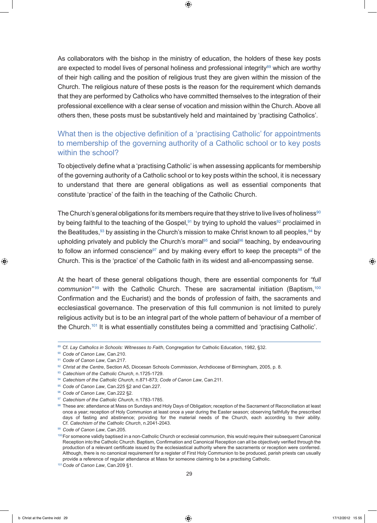As collaborators with the bishop in the ministry of education, the holders of these key posts are expected to model lives of personal holiness and professional integrity $89$  which are worthy of their high calling and the position of religious trust they are given within the mission of the Church. The religious nature of these posts is the reason for the requirement which demands that they are performed by Catholics who have committed themselves to the integration of their professional excellence with a clear sense of vocation and mission within the Church. Above all others then, these posts must be substantively held and maintained by 'practising Catholics'.

## What then is the objective definition of a 'practising Catholic' for appointments to membership of the governing authority of a Catholic school or to key posts within the school?

To objectively define what a 'practising Catholic' is when assessing applicants for membership of the governing authority of a Catholic school or to key posts within the school, it is necessary to understand that there are general obligations as well as essential components that constitute 'practice' of the faith in the teaching of the Catholic Church.

The Church's general obligations for its members require that they strive to live lives of holiness<sup>90</sup> by being faithful to the teaching of the Gospel,<sup>91</sup> by trying to uphold the values<sup>92</sup> proclaimed in the Beatitudes,  $93$  by assisting in the Church's mission to make Christ known to all peoples,  $94$  by upholding privately and publicly the Church's moral<sup>95</sup> and social<sup>96</sup> teaching, by endeavouring to follow an informed conscience<sup>97</sup> and by making every effort to keep the precepts<sup>98</sup> of the Church. This is the 'practice' of the Catholic faith in its widest and all-encompassing sense.

At the heart of these general obligations though, there are essential components for *"full*  communion<sup>"99</sup> with the Catholic Church. These are sacramental initiation (Baptism,<sup>100</sup>) Confirmation and the Eucharist) and the bonds of profession of faith, the sacraments and ecclesiastical governance. The preservation of this full communion is not limited to purely religious activity but is to be an integral part of the whole pattern of behaviour of a member of the Church.<sup>101</sup> It is what essentially constitutes being a committed and 'practising Catholic'.

<sup>89</sup> Cf. Lay Catholics in Schools: Witnesses to Faith, Congregation for Catholic Education, 1982, §32.

<sup>90</sup> *Code of Canon Law*, Can.210.

<sup>91</sup> *Code of Canon Law*, Can.217.

<sup>92</sup> *Christ at the Centre*, Section A5, Diocesan Schools Commission, Archdiocese of Birmingham, 2005, p. 8.

<sup>93</sup> *Catechism of the Catholic Church*, n.1725-1729.

<sup>94</sup> *Catechism of the Catholic Church*, n.871-873; *Code of Canon Law*, Can.211.

<sup>95</sup> *Code of Canon Law*, Can.225 §2 and Can.227.

<sup>96</sup> *Code of Canon Law*, Can.222 §2.

<sup>97</sup> *Catechism of the Catholic Church*, n.1783-1785.

<sup>98</sup> These are: attendance at Mass on Sundays and Holy Days of Obligation; reception of the Sacrament of Reconciliation at least once a year; reception of Holy Communion at least once a year during the Easter season; observing faithfully the prescribed days of fasting and abstinence; providing for the material needs of the Church, each according to their ability. Cf. *Catechism of the Catholic Church*, n.2041-2043.

<sup>99</sup> *Code of Canon Law*, Can.205.

<sup>100</sup> For someone validly baptised in a non-Catholic Church or ecclesial communion, this would require their subsequent Canonical Reception into the Catholic Church. Baptism, Confirmation and Canonical Reception can all be objectively verified through the production of a relevant certificate issued by the ecclesiastical authority where the sacraments or reception were conferred. Although, there is no canonical requirement for a register of First Holy Communion to be produced, parish priests can usually provide a reference of regular attendance at Mass for someone claiming to be a practising Catholic.

<sup>101</sup>*Code of Canon Law*, Can.209 §1.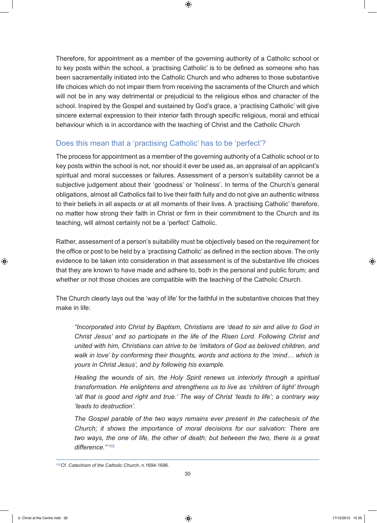Therefore, for appointment as a member of the governing authority of a Catholic school or to key posts within the school, a 'practising Catholic' is to be defined as someone who has been sacramentally initiated into the Catholic Church and who adheres to those substantive life choices which do not impair them from receiving the sacraments of the Church and which will not be in any way detrimental or prejudicial to the religious ethos and character of the school. Inspired by the Gospel and sustained by God's grace, a 'practising Catholic' will give sincere external expression to their interior faith through specific religious, moral and ethical behaviour which is in accordance with the teaching of Christ and the Catholic Church

# Does this mean that a 'practising Catholic' has to be 'perfect'?

The process for appointment as a member of the governing authority of a Catholic school or to key posts within the school is not, nor should it ever be used as, an appraisal of an applicant's spiritual and moral successes or failures. Assessment of a person's suitability cannot be a subjective judgement about their 'goodness' or 'holiness'. In terms of the Church's general obligations, almost all Catholics fail to live their faith fully and do not give an authentic witness to their beliefs in all aspects or at all moments of their lives. A 'practising Catholic' therefore, no matter how strong their faith in Christ or firm in their commitment to the Church and its teaching, will almost certainly not be a 'perfect' Catholic.

Rather, assessment of a person's suitability must be objectively based on the requirement for the office or post to be held by a 'practising Catholic' as defined in the section above. The only evidence to be taken into consideration in that assessment is of the substantive life choices that they are known to have made and adhere to, both in the personal and public forum; and whether or not those choices are compatible with the teaching of the Catholic Church.

The Church clearly lays out the 'way of life' for the faithful in the substantive choices that they make in life:

*"Incorporated into Christ by Baptism, Christians are 'dead to sin and alive to God in Christ Jesus' and so participate in the life of the Risen Lord. Following Christ and united with him, Christians can strive to be 'imitators of God as beloved children, and walk in love' by conforming their thoughts, words and actions to the 'mind… which is yours in Christ Jesus', and by following his example.*

*Healing the wounds of sin, the Holy Spirit renews us interiorly through a spiritual transformation. He enlightens and strengthens us to live as 'children of light' through 'all that is good and right and true.' The way of Christ 'leads to life'; a contrary way 'leads to destruction'.*

*The Gospel parable of the two ways remains ever present in the catechesis of the Church; it shows the importance of moral decisions for our salvation: There are two ways, the one of life, the other of death; but between the two, there is a great difference."* <sup>102</sup>

<sup>102</sup>Cf. *Catechism of the Catholic Church*, n.1694-1696.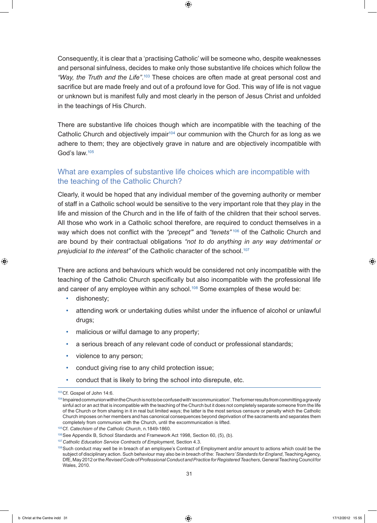Consequently, it is clear that a 'practising Catholic' will be someone who, despite weaknesses and personal sinfulness, decides to make only those substantive life choices which follow the "Way, the Truth and the Life".<sup>103</sup> These choices are often made at great personal cost and sacrifice but are made freely and out of a profound love for God. This way of life is not vague or unknown but is manifest fully and most clearly in the person of Jesus Christ and unfolded in the teachings of His Church.

There are substantive life choices though which are incompatible with the teaching of the Catholic Church and objectively impair<sup>104</sup> our communion with the Church for as long as we adhere to them; they are objectively grave in nature and are objectively incompatible with God's law.105

# What are examples of substantive life choices which are incompatible with the teaching of the Catholic Church?

Clearly, it would be hoped that any individual member of the governing authority or member of staff in a Catholic school would be sensitive to the very important role that they play in the life and mission of the Church and in the life of faith of the children that their school serves. All those who work in a Catholic school therefore, are required to conduct themselves in a way which does not conflict with the "precept" and "tenets"<sup>106</sup> of the Catholic Church and are bound by their contractual obligations *"not to do anything in any way detrimental or prejudicial to the interest"* of the Catholic character of the school.107

There are actions and behaviours which would be considered not only incompatible with the teaching of the Catholic Church specifically but also incompatible with the professional life and career of any employee within any school.<sup>108</sup> Some examples of these would be:

- dishonesty;
- attending work or undertaking duties whilst under the influence of alcohol or unlawful drugs;
- malicious or wilful damage to any property;
- a serious breach of any relevant code of conduct or professional standards;
- violence to any person;
- conduct giving rise to any child protection issue;
- conduct that is likely to bring the school into disrepute, etc.

<sup>103</sup>Cf. Gospel of John 14:6.

<sup>104</sup> Impaired communion within the Church is not to be confused with 'excommunication'. The former results from committing a gravely sinful act or an act that is incompatible with the teaching of the Church but it does not completely separate someone from the life of the Church or from sharing in it in real but limited ways; the latter is the most serious censure or penalty which the Catholic Church imposes on her members and has canonical consequences beyond deprivation of the sacraments and separates them completely from communion with the Church, until the excommunication is lifted.

<sup>105</sup>Cf. *Catechism of the Catholic Church*, n.1849-1860.

<sup>106</sup> See Appendix B, School Standards and Framework Act 1998, Section 60, (5), (b).

<sup>107</sup>*Catholic Education Service Contracts of Employment*, Section 4.3.

<sup>108</sup> Such conduct may well be in breach of an employee's Contract of Employment and/or amount to actions which could be the subject of disciplinary action. Such behaviour may also be in breach of the: *Teachers' Standards for England*, Teaching Agency, DfE, May 2012 or the *Revised Code of Professional Conduct and Practice for Registered Teachers*, General Teaching Council for Wales, 2010.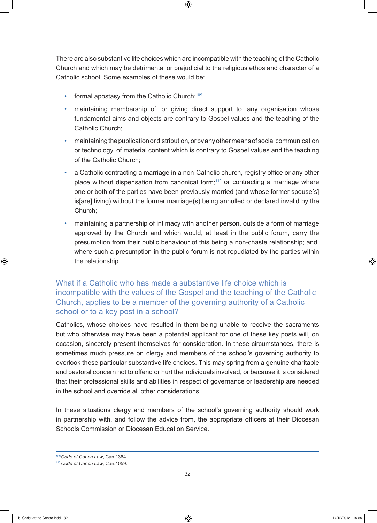There are also substantive life choices which are incompatible with the teaching of the Catholic Church and which may be detrimental or prejudicial to the religious ethos and character of a Catholic school. Some examples of these would be:

- formal apostasy from the Catholic Church; $109$
- maintaining membership of, or giving direct support to, any organisation whose fundamental aims and objects are contrary to Gospel values and the teaching of the Catholic Church;
- maintaining the publication or distribution, or by any other means of social communication or technology, of material content which is contrary to Gospel values and the teaching of the Catholic Church;
- a Catholic contracting a marriage in a non-Catholic church, registry office or any other place without dispensation from canonical form;<sup>110</sup> or contracting a marriage where one or both of the parties have been previously married (and whose former spouse[s] is[are] living) without the former marriage(s) being annulled or declared invalid by the Church;
- maintaining a partnership of intimacy with another person, outside a form of marriage approved by the Church and which would, at least in the public forum, carry the presumption from their public behaviour of this being a non-chaste relationship; and, where such a presumption in the public forum is not repudiated by the parties within the relationship.

# What if a Catholic who has made a substantive life choice which is incompatible with the values of the Gospel and the teaching of the Catholic Church, applies to be a member of the governing authority of a Catholic school or to a key post in a school?

Catholics, whose choices have resulted in them being unable to receive the sacraments but who otherwise may have been a potential applicant for one of these key posts will, on occasion, sincerely present themselves for consideration. In these circumstances, there is sometimes much pressure on clergy and members of the school's governing authority to overlook these particular substantive life choices. This may spring from a genuine charitable and pastoral concern not to offend or hurt the individuals involved, or because it is considered that their professional skills and abilities in respect of governance or leadership are needed in the school and override all other considerations.

In these situations clergy and members of the school's governing authority should work in partnership with, and follow the advice from, the appropriate officers at their Diocesan Schools Commission or Diocesan Education Service.

<sup>109</sup>*Code of Canon Law*, Can.1364.

<sup>110</sup>*Code of Canon Law*, Can.1059.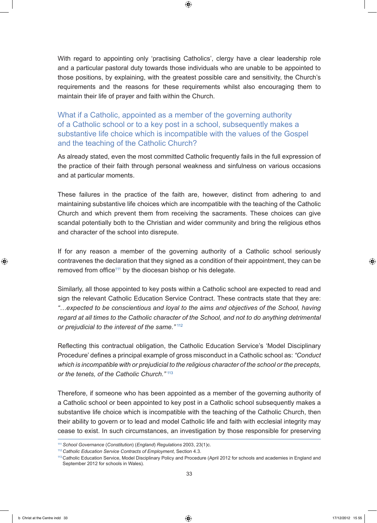With regard to appointing only 'practising Catholics', clergy have a clear leadership role and a particular pastoral duty towards those individuals who are unable to be appointed to those positions, by explaining, with the greatest possible care and sensitivity, the Church's requirements and the reasons for these requirements whilst also encouraging them to maintain their life of prayer and faith within the Church.

What if a Catholic, appointed as a member of the governing authority of a Catholic school or to a key post in a school, subsequently makes a substantive life choice which is incompatible with the values of the Gospel and the teaching of the Catholic Church?

As already stated, even the most committed Catholic frequently fails in the full expression of the practice of their faith through personal weakness and sinfulness on various occasions and at particular moments.

These failures in the practice of the faith are, however, distinct from adhering to and maintaining substantive life choices which are incompatible with the teaching of the Catholic Church and which prevent them from receiving the sacraments. These choices can give scandal potentially both to the Christian and wider community and bring the religious ethos and character of the school into disrepute.

If for any reason a member of the governing authority of a Catholic school seriously contravenes the declaration that they signed as a condition of their appointment, they can be removed from office<sup>111</sup> by the diocesan bishop or his delegate.

Similarly, all those appointed to key posts within a Catholic school are expected to read and sign the relevant Catholic Education Service Contract. These contracts state that they are: *"…expected to be conscientious and loyal to the aims and objectives of the School, having regard at all times to the Catholic character of the School, and not to do anything detrimental or prejudicial to the interest of the same."* <sup>112</sup>

Reflecting this contractual obligation, the Catholic Education Service's 'Model Disciplinary Procedure' defines a principal example of gross misconduct in a Catholic school as: *"Conduct which is incompatible with or prejudicial to the religious character of the school or the precepts, or the tenets, of the Catholic Church."* <sup>113</sup>

Therefore, if someone who has been appointed as a member of the governing authority of a Catholic school or been appointed to key post in a Catholic school subsequently makes a substantive life choice which is incompatible with the teaching of the Catholic Church, then their ability to govern or to lead and model Catholic life and faith with ecclesial integrity may cease to exist. In such circumstances, an investigation by those responsible for preserving

<sup>111</sup> *School Governance* (*Constitution*) (*England*) *Regulations* 2003, 23(1)c.

<sup>112</sup>*Catholic Education Service Contracts of Employment*, Section 4.3.

<sup>113</sup> Catholic Education Service, Model Disciplinary Policy and Procedure (April 2012 for schools and academies in England and September 2012 for schools in Wales).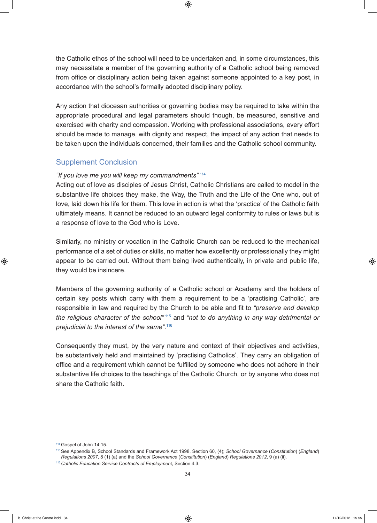the Catholic ethos of the school will need to be undertaken and, in some circumstances, this may necessitate a member of the governing authority of a Catholic school being removed from office or disciplinary action being taken against someone appointed to a key post, in accordance with the school's formally adopted disciplinary policy.

Any action that diocesan authorities or governing bodies may be required to take within the appropriate procedural and legal parameters should though, be measured, sensitive and exercised with charity and compassion. Working with professional associations, every effort should be made to manage, with dignity and respect, the impact of any action that needs to be taken upon the individuals concerned, their families and the Catholic school community.

## Supplement Conclusion

#### *"If you love me you will keep my commandments"* <sup>114</sup>

Acting out of love as disciples of Jesus Christ, Catholic Christians are called to model in the substantive life choices they make, the Way, the Truth and the Life of the One who, out of love, laid down his life for them. This love in action is what the 'practice' of the Catholic faith ultimately means. It cannot be reduced to an outward legal conformity to rules or laws but is a response of love to the God who is Love.

Similarly, no ministry or vocation in the Catholic Church can be reduced to the mechanical performance of a set of duties or skills, no matter how excellently or professionally they might appear to be carried out. Without them being lived authentically, in private and public life, they would be insincere.

Members of the governing authority of a Catholic school or Academy and the holders of certain key posts which carry with them a requirement to be a 'practising Catholic', are responsible in law and required by the Church to be able and fit to *"preserve and develop the religious character of the school"* <sup>115</sup> and *"not to do anything in any way detrimental or prejudicial to the interest of the same"*. 116

Consequently they must, by the very nature and context of their objectives and activities, be substantively held and maintained by 'practising Catholics'. They carry an obligation of office and a requirement which cannot be fulfilled by someone who does not adhere in their substantive life choices to the teachings of the Catholic Church, or by anyone who does not share the Catholic faith.

<sup>114</sup>Gospel of John 14:15.

<sup>115</sup>See Appendix B, School Standards and Framework Act 1998, Section 60, (4); *School Governance* (*Constitution*) (*England*) *Regulations 2007*, 8 (1) (a) and the *School Governance* (*Constitution*) (*England*) *Regulations 2012*, 9 (a) (ii).

<sup>116</sup>*Catholic Education Service Contracts of Employmen*t, Section 4.3.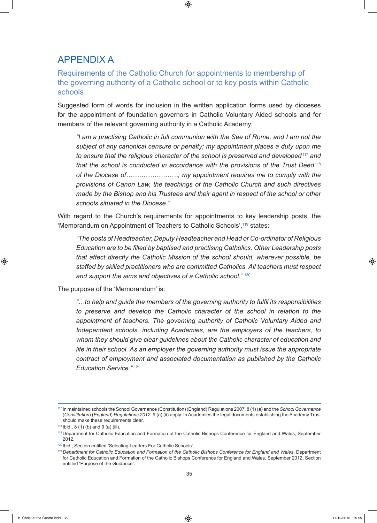# APPENDIX A

#### Requirements of the Catholic Church for appointments to membership of the governing authority of a Catholic school or to key posts within Catholic schools

Suggested form of words for inclusion in the written application forms used by dioceses for the appointment of foundation governors in Catholic Voluntary Aided schools and for members of the relevant governing authority in a Catholic Academy:

*"I am a practising Catholic in full communion with the See of Rome, and I am not the subject of any canonical censure or penalty; my appointment places a duty upon me to ensure that the religious character of the school is preserved and developed*<sup>117</sup> *and that the school is conducted in accordance with the provisions of the Trust Deed*<sup>118</sup> *of the Diocese of……………………; my appointment requires me to comply with the provisions of Canon Law, the teachings of the Catholic Church and such directives made by the Bishop and his Trustees and their agent in respect of the school or other schools situated in the Diocese."*

With regard to the Church's requirements for appointments to key leadership posts, the 'Memorandum on Appointment of Teachers to Catholic Schools', 119 states:

*"The posts of Headteacher, Deputy Headteacher and Head or Co-ordinator of Religious Education are to be filled by baptised and practising Catholics. Other Leadership posts that affect directly the Catholic Mission of the school should, wherever possible, be staffed by skilled practitioners who are committed Catholics. All teachers must respect and support the aims and objectives of a Catholic school."* <sup>120</sup>

The purpose of the 'Memorandum' is:

*"…to help and guide the members of the governing authority to fulfil its responsibilities to preserve and develop the Catholic character of the school in relation to the appointment of teachers. The governing authority of Catholic Voluntary Aided and Independent schools, including Academies, are the employers of the teachers, to whom they should give clear guidelines about the Catholic character of education and life in their school. As an employer the governing authority must issue the appropriate contract of employment and associated documentation as published by the Catholic Education Service."* <sup>121</sup>

<sup>117</sup> In maintained schools the School Governance (Constitution) (England) Regulations 2007, 8 (1) (a) and the *School Governance* (*Constitution*) (*England*) *Regulations 2012*, 9 (a) (ii) apply. In Academies the legal documents establishing the Academy Trust should make these requirements clear.

 $118$  Ibid., 8 (1) (b) and 9 (a) (iii).

<sup>119</sup>Department for Catholic Education and Formation of the Catholic Bishops Conference for England and Wales, September 2012.

<sup>120</sup> Ibid., Section entitled 'Selecting Leaders For Catholic Schools'.

<sup>121</sup>*Department for Catholic Education and Formation of the Catholic Bishops Conference for England and Wales*, Department for Catholic Education and Formation of the Catholic Bishops Conference for England and Wales, September 2012, Section entitled 'Purpose of the Guidance'.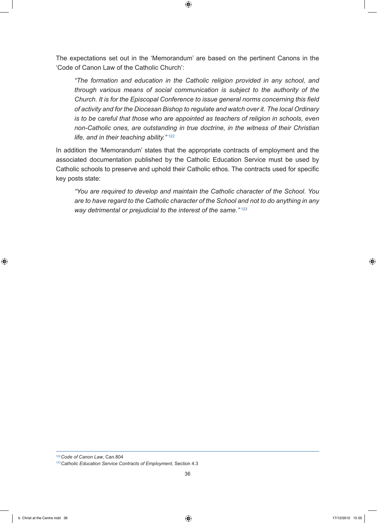The expectations set out in the 'Memorandum' are based on the pertinent Canons in the 'Code of Canon Law of the Catholic Church':

*"The formation and education in the Catholic religion provided in any school, and through various means of social communication is subject to the authority of the Church. It is for the Episcopal Conference to issue general norms concerning this field of activity and for the Diocesan Bishop to regulate and watch over it. The local Ordinary is to be careful that those who are appointed as teachers of religion in schools, even non-Catholic ones, are outstanding in true doctrine, in the witness of their Christian life, and in their teaching ability."* <sup>122</sup>

In addition the 'Memorandum' states that the appropriate contracts of employment and the associated documentation published by the Catholic Education Service must be used by Catholic schools to preserve and uphold their Catholic ethos. The contracts used for specific key posts state:

*"You are required to develop and maintain the Catholic character of the School. You are to have regard to the Catholic character of the School and not to do anything in any way detrimental or prejudicial to the interest of the same."* <sup>123</sup>

<sup>122</sup>*Code of Canon Law*, Can.804

<sup>123</sup>*Catholic Education Service Contracts of Employment,* Section 4.3